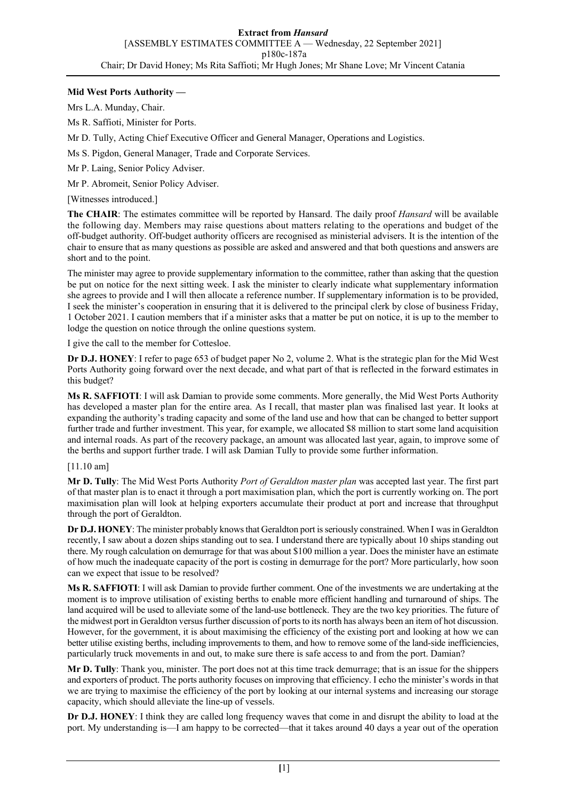# **Mid West Ports Authority —**

Mrs L.A. Munday, Chair.

Ms R. Saffioti, Minister for Ports.

Mr D. Tully, Acting Chief Executive Officer and General Manager, Operations and Logistics.

Ms S. Pigdon, General Manager, Trade and Corporate Services.

Mr P. Laing, Senior Policy Adviser.

Mr P. Abromeit, Senior Policy Adviser.

[Witnesses introduced.]

**The CHAIR**: The estimates committee will be reported by Hansard. The daily proof *Hansard* will be available the following day. Members may raise questions about matters relating to the operations and budget of the off-budget authority. Off-budget authority officers are recognised as ministerial advisers. It is the intention of the chair to ensure that as many questions as possible are asked and answered and that both questions and answers are short and to the point.

The minister may agree to provide supplementary information to the committee, rather than asking that the question be put on notice for the next sitting week. I ask the minister to clearly indicate what supplementary information she agrees to provide and I will then allocate a reference number. If supplementary information is to be provided, I seek the minister's cooperation in ensuring that it is delivered to the principal clerk by close of business Friday, 1 October 2021. I caution members that if a minister asks that a matter be put on notice, it is up to the member to lodge the question on notice through the online questions system.

I give the call to the member for Cottesloe.

**Dr D.J. HONEY**: I refer to page 653 of budget paper No 2, volume 2. What is the strategic plan for the Mid West Ports Authority going forward over the next decade, and what part of that is reflected in the forward estimates in this budget?

**Ms R. SAFFIOTI**: I will ask Damian to provide some comments. More generally, the Mid West Ports Authority has developed a master plan for the entire area. As I recall, that master plan was finalised last year. It looks at expanding the authority's trading capacity and some of the land use and how that can be changed to better support further trade and further investment. This year, for example, we allocated \$8 million to start some land acquisition and internal roads. As part of the recovery package, an amount was allocated last year, again, to improve some of the berths and support further trade. I will ask Damian Tully to provide some further information.

#### [11.10 am]

**Mr D. Tully**: The Mid West Ports Authority *Port of Geraldton master plan* was accepted last year. The first part of that master plan is to enact it through a port maximisation plan, which the port is currently working on. The port maximisation plan will look at helping exporters accumulate their product at port and increase that throughput through the port of Geraldton.

**Dr D.J. HONEY**: The minister probably knows that Geraldton port is seriously constrained. When I was in Geraldton recently, I saw about a dozen ships standing out to sea. I understand there are typically about 10 ships standing out there. My rough calculation on demurrage for that was about \$100 million a year. Does the minister have an estimate of how much the inadequate capacity of the port is costing in demurrage for the port? More particularly, how soon can we expect that issue to be resolved?

**Ms R. SAFFIOTI**: I will ask Damian to provide further comment. One of the investments we are undertaking at the moment is to improve utilisation of existing berths to enable more efficient handling and turnaround of ships. The land acquired will be used to alleviate some of the land-use bottleneck. They are the two key priorities. The future of the midwest port in Geraldton versus further discussion of ports to its north has always been an item of hot discussion. However, for the government, it is about maximising the efficiency of the existing port and looking at how we can better utilise existing berths, including improvements to them, and how to remove some of the land-side inefficiencies, particularly truck movements in and out, to make sure there is safe access to and from the port. Damian?

**Mr D. Tully**: Thank you, minister. The port does not at this time track demurrage; that is an issue for the shippers and exporters of product. The ports authority focuses on improving that efficiency. I echo the minister's words in that we are trying to maximise the efficiency of the port by looking at our internal systems and increasing our storage capacity, which should alleviate the line-up of vessels.

**Dr D.J. HONEY**: I think they are called long frequency waves that come in and disrupt the ability to load at the port. My understanding is—I am happy to be corrected—that it takes around 40 days a year out of the operation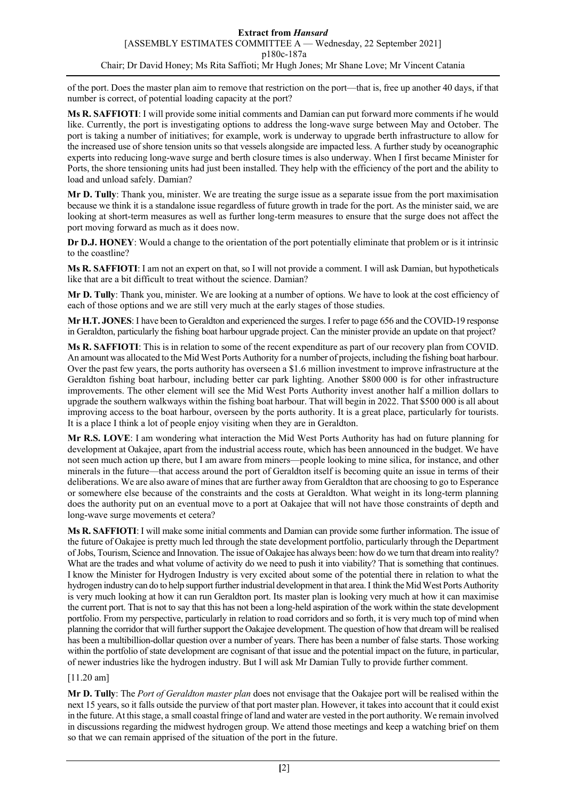of the port. Does the master plan aim to remove that restriction on the port—that is, free up another 40 days, if that number is correct, of potential loading capacity at the port?

**Ms R. SAFFIOTI**: I will provide some initial comments and Damian can put forward more comments if he would like. Currently, the port is investigating options to address the long-wave surge between May and October. The port is taking a number of initiatives; for example, work is underway to upgrade berth infrastructure to allow for the increased use of shore tension units so that vessels alongside are impacted less. A further study by oceanographic experts into reducing long-wave surge and berth closure times is also underway. When I first became Minister for Ports, the shore tensioning units had just been installed. They help with the efficiency of the port and the ability to load and unload safely. Damian?

**Mr D. Tully**: Thank you, minister. We are treating the surge issue as a separate issue from the port maximisation because we think it is a standalone issue regardless of future growth in trade for the port. As the minister said, we are looking at short-term measures as well as further long-term measures to ensure that the surge does not affect the port moving forward as much as it does now.

**Dr D.J. HONEY**: Would a change to the orientation of the port potentially eliminate that problem or is it intrinsic to the coastline?

**Ms R. SAFFIOTI**: I am not an expert on that, so I will not provide a comment. I will ask Damian, but hypotheticals like that are a bit difficult to treat without the science. Damian?

**Mr D. Tully**: Thank you, minister. We are looking at a number of options. We have to look at the cost efficiency of each of those options and we are still very much at the early stages of those studies.

**Mr H.T. JONES**: I have been to Geraldton and experienced the surges. I refer to page 656 and the COVID-19 response in Geraldton, particularly the fishing boat harbour upgrade project. Can the minister provide an update on that project?

**Ms R. SAFFIOTI**: This is in relation to some of the recent expenditure as part of our recovery plan from COVID. An amount was allocated to the Mid West Ports Authority for a number of projects, including the fishing boat harbour. Over the past few years, the ports authority has overseen a \$1.6 million investment to improve infrastructure at the Geraldton fishing boat harbour, including better car park lighting. Another \$800 000 is for other infrastructure improvements. The other element will see the Mid West Ports Authority invest another half a million dollars to upgrade the southern walkways within the fishing boat harbour. That will begin in 2022. That \$500 000 is all about improving access to the boat harbour, overseen by the ports authority. It is a great place, particularly for tourists. It is a place I think a lot of people enjoy visiting when they are in Geraldton.

**Mr R.S. LOVE**: I am wondering what interaction the Mid West Ports Authority has had on future planning for development at Oakajee, apart from the industrial access route, which has been announced in the budget. We have not seen much action up there, but I am aware from miners—people looking to mine silica, for instance, and other minerals in the future—that access around the port of Geraldton itself is becoming quite an issue in terms of their deliberations. We are also aware of mines that are further away from Geraldton that are choosing to go to Esperance or somewhere else because of the constraints and the costs at Geraldton. What weight in its long-term planning does the authority put on an eventual move to a port at Oakajee that will not have those constraints of depth and long-wave surge movements et cetera?

**Ms R. SAFFIOTI**: I will make some initial comments and Damian can provide some further information. The issue of the future of Oakajee is pretty much led through the state development portfolio, particularly through the Department of Jobs, Tourism, Science and Innovation. The issue of Oakajee has always been: how do we turn that dream into reality? What are the trades and what volume of activity do we need to push it into viability? That is something that continues. I know the Minister for Hydrogen Industry is very excited about some of the potential there in relation to what the hydrogen industry can do to help support further industrial development in that area.I think the Mid West Ports Authority is very much looking at how it can run Geraldton port. Its master plan is looking very much at how it can maximise the current port. That is not to say that this has not been a long-held aspiration of the work within the state development portfolio. From my perspective, particularly in relation to road corridors and so forth, it is very much top of mind when planning the corridor that will further support the Oakajee development. The question of how that dream will be realised has been a multibillion-dollar question over a number of years. There has been a number of false starts. Those working within the portfolio of state development are cognisant of that issue and the potential impact on the future, in particular, of newer industries like the hydrogen industry. But I will ask Mr Damian Tully to provide further comment.

# [11.20 am]

**Mr D. Tully**: The *Port of Geraldton master plan* does not envisage that the Oakajee port will be realised within the next 15 years, so it falls outside the purview of that port master plan. However, it takes into account that it could exist in the future. At this stage, a small coastal fringe of land and water are vested in the port authority. We remain involved in discussions regarding the midwest hydrogen group. We attend those meetings and keep a watching brief on them so that we can remain apprised of the situation of the port in the future.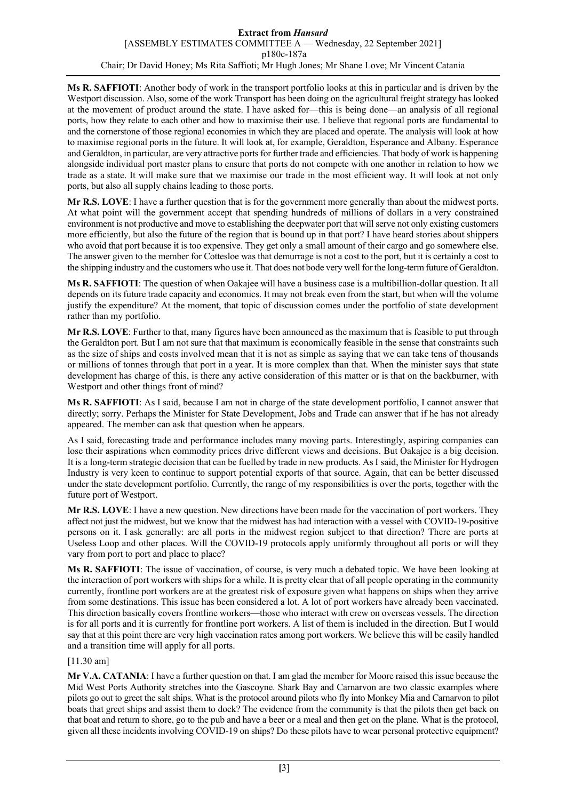**Ms R. SAFFIOTI**: Another body of work in the transport portfolio looks at this in particular and is driven by the Westport discussion. Also, some of the work Transport has been doing on the agricultural freight strategy has looked at the movement of product around the state. I have asked for—this is being done—an analysis of all regional ports, how they relate to each other and how to maximise their use. I believe that regional ports are fundamental to and the cornerstone of those regional economies in which they are placed and operate. The analysis will look at how to maximise regional ports in the future. It will look at, for example, Geraldton, Esperance and Albany. Esperance and Geraldton, in particular, are very attractive ports for further trade and efficiencies. That body of work is happening alongside individual port master plans to ensure that ports do not compete with one another in relation to how we trade as a state. It will make sure that we maximise our trade in the most efficient way. It will look at not only ports, but also all supply chains leading to those ports.

**Mr R.S. LOVE**: I have a further question that is for the government more generally than about the midwest ports. At what point will the government accept that spending hundreds of millions of dollars in a very constrained environment is not productive and move to establishing the deepwater port that will serve not only existing customers more efficiently, but also the future of the region that is bound up in that port? I have heard stories about shippers who avoid that port because it is too expensive. They get only a small amount of their cargo and go somewhere else. The answer given to the member for Cottesloe was that demurrage is not a cost to the port, but it is certainly a cost to the shipping industry and the customers who use it. That does not bode very well for the long-term future of Geraldton.

**Ms R. SAFFIOTI**: The question of when Oakajee will have a business case is a multibillion-dollar question. It all depends on its future trade capacity and economics. It may not break even from the start, but when will the volume justify the expenditure? At the moment, that topic of discussion comes under the portfolio of state development rather than my portfolio.

**Mr R.S. LOVE**: Further to that, many figures have been announced as the maximum that is feasible to put through the Geraldton port. But I am not sure that that maximum is economically feasible in the sense that constraints such as the size of ships and costs involved mean that it is not as simple as saying that we can take tens of thousands or millions of tonnes through that port in a year. It is more complex than that. When the minister says that state development has charge of this, is there any active consideration of this matter or is that on the backburner, with Westport and other things front of mind?

**Ms R. SAFFIOTI**: As I said, because I am not in charge of the state development portfolio, I cannot answer that directly; sorry. Perhaps the Minister for State Development, Jobs and Trade can answer that if he has not already appeared. The member can ask that question when he appears.

As I said, forecasting trade and performance includes many moving parts. Interestingly, aspiring companies can lose their aspirations when commodity prices drive different views and decisions. But Oakajee is a big decision. It is a long-term strategic decision that can be fuelled by trade in new products. As I said, the Minister for Hydrogen Industry is very keen to continue to support potential exports of that source. Again, that can be better discussed under the state development portfolio. Currently, the range of my responsibilities is over the ports, together with the future port of Westport.

**Mr R.S. LOVE**: I have a new question. New directions have been made for the vaccination of port workers. They affect not just the midwest, but we know that the midwest has had interaction with a vessel with COVID-19-positive persons on it. I ask generally: are all ports in the midwest region subject to that direction? There are ports at Useless Loop and other places. Will the COVID-19 protocols apply uniformly throughout all ports or will they vary from port to port and place to place?

**Ms R. SAFFIOTI**: The issue of vaccination, of course, is very much a debated topic. We have been looking at the interaction of port workers with ships for a while. It is pretty clear that of all people operating in the community currently, frontline port workers are at the greatest risk of exposure given what happens on ships when they arrive from some destinations. This issue has been considered a lot. A lot of port workers have already been vaccinated. This direction basically covers frontline workers—those who interact with crew on overseas vessels. The direction is for all ports and it is currently for frontline port workers. A list of them is included in the direction. But I would say that at this point there are very high vaccination rates among port workers. We believe this will be easily handled and a transition time will apply for all ports.

# [11.30 am]

**Mr V.A. CATANIA**: I have a further question on that. I am glad the member for Moore raised this issue because the Mid West Ports Authority stretches into the Gascoyne. Shark Bay and Carnarvon are two classic examples where pilots go out to greet the salt ships. What is the protocol around pilots who fly into Monkey Mia and Carnarvon to pilot boats that greet ships and assist them to dock? The evidence from the community is that the pilots then get back on that boat and return to shore, go to the pub and have a beer or a meal and then get on the plane. What is the protocol, given all these incidents involving COVID-19 on ships? Do these pilots have to wear personal protective equipment?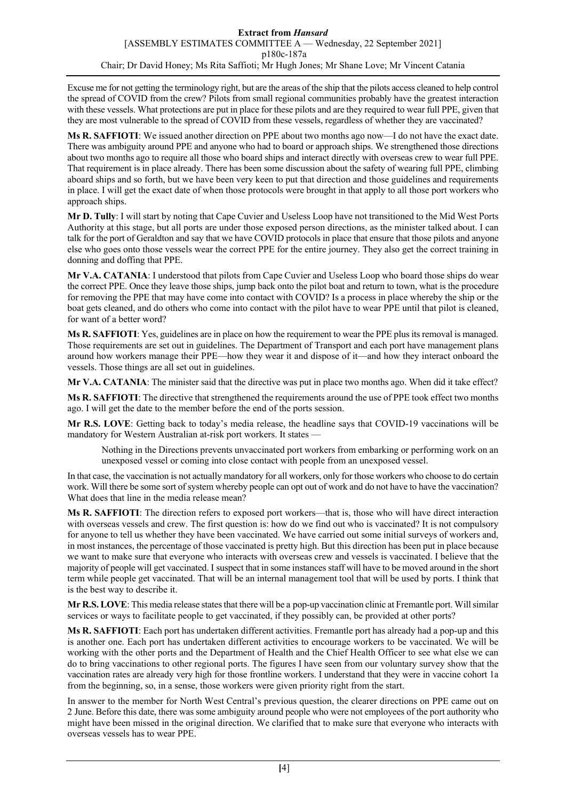Excuse me for not getting the terminology right, but are the areas of the ship that the pilots access cleaned to help control the spread of COVID from the crew? Pilots from small regional communities probably have the greatest interaction with these vessels. What protections are put in place for these pilots and are they required to wear full PPE, given that they are most vulnerable to the spread of COVID from these vessels, regardless of whether they are vaccinated?

**Ms R. SAFFIOTI**: We issued another direction on PPE about two months ago now—I do not have the exact date. There was ambiguity around PPE and anyone who had to board or approach ships. We strengthened those directions about two months ago to require all those who board ships and interact directly with overseas crew to wear full PPE. That requirement is in place already. There has been some discussion about the safety of wearing full PPE, climbing aboard ships and so forth, but we have been very keen to put that direction and those guidelines and requirements in place. I will get the exact date of when those protocols were brought in that apply to all those port workers who approach ships.

**Mr D. Tully**: I will start by noting that Cape Cuvier and Useless Loop have not transitioned to the Mid West Ports Authority at this stage, but all ports are under those exposed person directions, as the minister talked about. I can talk for the port of Geraldton and say that we have COVID protocols in place that ensure that those pilots and anyone else who goes onto those vessels wear the correct PPE for the entire journey. They also get the correct training in donning and doffing that PPE.

**Mr V.A. CATANIA**: I understood that pilots from Cape Cuvier and Useless Loop who board those ships do wear the correct PPE. Once they leave those ships, jump back onto the pilot boat and return to town, what is the procedure for removing the PPE that may have come into contact with COVID? Is a process in place whereby the ship or the boat gets cleaned, and do others who come into contact with the pilot have to wear PPE until that pilot is cleaned, for want of a better word?

**Ms R. SAFFIOTI**: Yes, guidelines are in place on how the requirement to wear the PPE plus its removal is managed. Those requirements are set out in guidelines. The Department of Transport and each port have management plans around how workers manage their PPE—how they wear it and dispose of it—and how they interact onboard the vessels. Those things are all set out in guidelines.

**Mr V.A. CATANIA**: The minister said that the directive was put in place two months ago. When did it take effect?

**Ms R. SAFFIOTI**: The directive that strengthened the requirements around the use of PPE took effect two months ago. I will get the date to the member before the end of the ports session.

**Mr R.S. LOVE**: Getting back to today's media release, the headline says that COVID-19 vaccinations will be mandatory for Western Australian at-risk port workers. It states —

Nothing in the Directions prevents unvaccinated port workers from embarking or performing work on an unexposed vessel or coming into close contact with people from an unexposed vessel.

In that case, the vaccination is not actually mandatory for all workers, only for those workers who choose to do certain work. Will there be some sort of system whereby people can opt out of work and do not have to have the vaccination? What does that line in the media release mean?

**Ms R. SAFFIOTI**: The direction refers to exposed port workers—that is, those who will have direct interaction with overseas vessels and crew. The first question is: how do we find out who is vaccinated? It is not compulsory for anyone to tell us whether they have been vaccinated. We have carried out some initial surveys of workers and, in most instances, the percentage of those vaccinated is pretty high. But this direction has been put in place because we want to make sure that everyone who interacts with overseas crew and vessels is vaccinated. I believe that the majority of people will get vaccinated. I suspect that in some instances staff will have to be moved around in the short term while people get vaccinated. That will be an internal management tool that will be used by ports. I think that is the best way to describe it.

**Mr R.S. LOVE**: This media release states that there will be a pop-up vaccination clinic at Fremantle port. Will similar services or ways to facilitate people to get vaccinated, if they possibly can, be provided at other ports?

**Ms R. SAFFIOTI**: Each port has undertaken different activities. Fremantle port has already had a pop-up and this is another one. Each port has undertaken different activities to encourage workers to be vaccinated. We will be working with the other ports and the Department of Health and the Chief Health Officer to see what else we can do to bring vaccinations to other regional ports. The figures I have seen from our voluntary survey show that the vaccination rates are already very high for those frontline workers. I understand that they were in vaccine cohort 1a from the beginning, so, in a sense, those workers were given priority right from the start.

In answer to the member for North West Central's previous question, the clearer directions on PPE came out on 2 June. Before this date, there was some ambiguity around people who were not employees of the port authority who might have been missed in the original direction. We clarified that to make sure that everyone who interacts with overseas vessels has to wear PPE.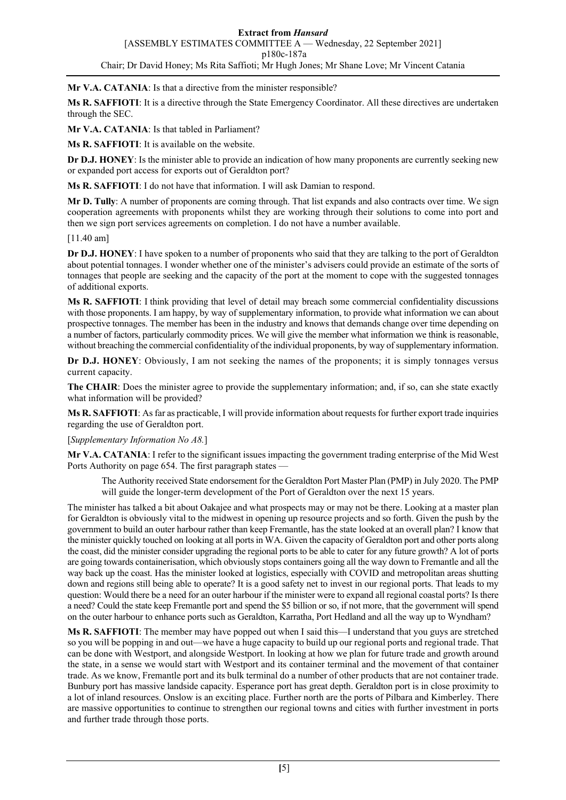**Mr V.A. CATANIA**: Is that a directive from the minister responsible?

**Ms R. SAFFIOTI**: It is a directive through the State Emergency Coordinator. All these directives are undertaken through the SEC.

**Mr V.A. CATANIA**: Is that tabled in Parliament?

**Ms R. SAFFIOTI**: It is available on the website.

**Dr D.J. HONEY**: Is the minister able to provide an indication of how many proponents are currently seeking new or expanded port access for exports out of Geraldton port?

**Ms R. SAFFIOTI**: I do not have that information. I will ask Damian to respond.

**Mr D. Tully**: A number of proponents are coming through. That list expands and also contracts over time. We sign cooperation agreements with proponents whilst they are working through their solutions to come into port and then we sign port services agreements on completion. I do not have a number available.

[11.40 am]

**Dr D.J. HONEY**: I have spoken to a number of proponents who said that they are talking to the port of Geraldton about potential tonnages. I wonder whether one of the minister's advisers could provide an estimate of the sorts of tonnages that people are seeking and the capacity of the port at the moment to cope with the suggested tonnages of additional exports.

**Ms R. SAFFIOTI**: I think providing that level of detail may breach some commercial confidentiality discussions with those proponents. I am happy, by way of supplementary information, to provide what information we can about prospective tonnages. The member has been in the industry and knows that demands change over time depending on a number of factors, particularly commodity prices. We will give the member what information we think is reasonable, without breaching the commercial confidentiality of the individual proponents, by way of supplementary information.

**Dr D.J. HONEY**: Obviously, I am not seeking the names of the proponents; it is simply tonnages versus current capacity.

**The CHAIR**: Does the minister agree to provide the supplementary information; and, if so, can she state exactly what information will be provided?

**Ms R. SAFFIOTI**: As far as practicable, I will provide information about requests for further export trade inquiries regarding the use of Geraldton port.

[*Supplementary Information No A8.*]

**Mr V.A. CATANIA**: I refer to the significant issues impacting the government trading enterprise of the Mid West Ports Authority on page 654. The first paragraph states —

The Authority received State endorsement for the Geraldton Port Master Plan (PMP) in July 2020. The PMP will guide the longer-term development of the Port of Geraldton over the next 15 years.

The minister has talked a bit about Oakajee and what prospects may or may not be there. Looking at a master plan for Geraldton is obviously vital to the midwest in opening up resource projects and so forth. Given the push by the government to build an outer harbour rather than keep Fremantle, has the state looked at an overall plan? I know that the minister quickly touched on looking at all ports in WA. Given the capacity of Geraldton port and other ports along the coast, did the minister consider upgrading the regional ports to be able to cater for any future growth? A lot of ports are going towards containerisation, which obviously stops containers going all the way down to Fremantle and all the way back up the coast. Has the minister looked at logistics, especially with COVID and metropolitan areas shutting down and regions still being able to operate? It is a good safety net to invest in our regional ports. That leads to my question: Would there be a need for an outer harbour if the minister were to expand all regional coastal ports? Is there a need? Could the state keep Fremantle port and spend the \$5 billion or so, if not more, that the government will spend on the outer harbour to enhance ports such as Geraldton, Karratha, Port Hedland and all the way up to Wyndham?

**Ms R. SAFFIOTI**: The member may have popped out when I said this—I understand that you guys are stretched so you will be popping in and out—we have a huge capacity to build up our regional ports and regional trade. That can be done with Westport, and alongside Westport. In looking at how we plan for future trade and growth around the state, in a sense we would start with Westport and its container terminal and the movement of that container trade. As we know, Fremantle port and its bulk terminal do a number of other products that are not container trade. Bunbury port has massive landside capacity. Esperance port has great depth. Geraldton port is in close proximity to a lot of inland resources. Onslow is an exciting place. Further north are the ports of Pilbara and Kimberley. There are massive opportunities to continue to strengthen our regional towns and cities with further investment in ports and further trade through those ports.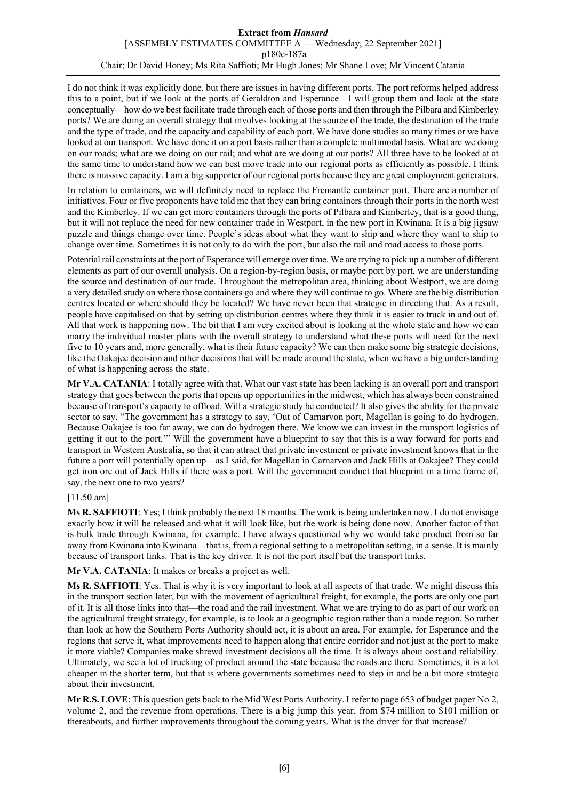#### **Extract from** *Hansard* [ASSEMBLY ESTIMATES COMMITTEE A — Wednesday, 22 September 2021] p180c-187a Chair; Dr David Honey; Ms Rita Saffioti; Mr Hugh Jones; Mr Shane Love; Mr Vincent Catania

I do not think it was explicitly done, but there are issues in having different ports. The port reforms helped address this to a point, but if we look at the ports of Geraldton and Esperance—I will group them and look at the state conceptually—how do we best facilitate trade through each of those ports and then through the Pilbara and Kimberley ports? We are doing an overall strategy that involves looking at the source of the trade, the destination of the trade and the type of trade, and the capacity and capability of each port. We have done studies so many times or we have looked at our transport. We have done it on a port basis rather than a complete multimodal basis. What are we doing on our roads; what are we doing on our rail; and what are we doing at our ports? All three have to be looked at at the same time to understand how we can best move trade into our regional ports as efficiently as possible. I think there is massive capacity. I am a big supporter of our regional ports because they are great employment generators.

In relation to containers, we will definitely need to replace the Fremantle container port. There are a number of initiatives. Four or five proponents have told me that they can bring containers through their ports in the north west and the Kimberley. If we can get more containers through the ports of Pilbara and Kimberley, that is a good thing, but it will not replace the need for new container trade in Westport, in the new port in Kwinana. It is a big jigsaw puzzle and things change over time. People's ideas about what they want to ship and where they want to ship to change over time. Sometimes it is not only to do with the port, but also the rail and road access to those ports.

Potential rail constraints at the port of Esperance will emerge over time. We are trying to pick up a number of different elements as part of our overall analysis. On a region-by-region basis, or maybe port by port, we are understanding the source and destination of our trade. Throughout the metropolitan area, thinking about Westport, we are doing a very detailed study on where those containers go and where they will continue to go. Where are the big distribution centres located or where should they be located? We have never been that strategic in directing that. As a result, people have capitalised on that by setting up distribution centres where they think it is easier to truck in and out of. All that work is happening now. The bit that I am very excited about is looking at the whole state and how we can marry the individual master plans with the overall strategy to understand what these ports will need for the next five to 10 years and, more generally, what is their future capacity? We can then make some big strategic decisions, like the Oakajee decision and other decisions that will be made around the state, when we have a big understanding of what is happening across the state.

**Mr V.A. CATANIA**: I totally agree with that. What our vast state has been lacking is an overall port and transport strategy that goes between the ports that opens up opportunities in the midwest, which has always been constrained because of transport's capacity to offload. Will a strategic study be conducted? It also gives the ability for the private sector to say, "The government has a strategy to say, 'Out of Carnarvon port, Magellan is going to do hydrogen. Because Oakajee is too far away, we can do hydrogen there. We know we can invest in the transport logistics of getting it out to the port.'" Will the government have a blueprint to say that this is a way forward for ports and transport in Western Australia, so that it can attract that private investment or private investment knows that in the future a port will potentially open up—as I said, for Magellan in Carnarvon and Jack Hills at Oakajee? They could get iron ore out of Jack Hills if there was a port. Will the government conduct that blueprint in a time frame of, say, the next one to two years?

# [11.50 am]

**Ms R. SAFFIOTI**: Yes; I think probably the next 18 months. The work is being undertaken now. I do not envisage exactly how it will be released and what it will look like, but the work is being done now. Another factor of that is bulk trade through Kwinana, for example. I have always questioned why we would take product from so far away from Kwinana into Kwinana—that is, from a regional setting to a metropolitan setting, in a sense. It is mainly because of transport links. That is the key driver. It is not the port itself but the transport links.

**Mr V.A. CATANIA**: It makes or breaks a project as well.

**Ms R. SAFFIOTI**: Yes. That is why it is very important to look at all aspects of that trade. We might discuss this in the transport section later, but with the movement of agricultural freight, for example, the ports are only one part of it. It is all those links into that—the road and the rail investment. What we are trying to do as part of our work on the agricultural freight strategy, for example, is to look at a geographic region rather than a mode region. So rather than look at how the Southern Ports Authority should act, it is about an area. For example, for Esperance and the regions that serve it, what improvements need to happen along that entire corridor and not just at the port to make it more viable? Companies make shrewd investment decisions all the time. It is always about cost and reliability. Ultimately, we see a lot of trucking of product around the state because the roads are there. Sometimes, it is a lot cheaper in the shorter term, but that is where governments sometimes need to step in and be a bit more strategic about their investment.

**Mr R.S. LOVE**: This question gets back to the Mid West Ports Authority. I refer to page 653 of budget paper No 2, volume 2, and the revenue from operations. There is a big jump this year, from \$74 million to \$101 million or thereabouts, and further improvements throughout the coming years. What is the driver for that increase?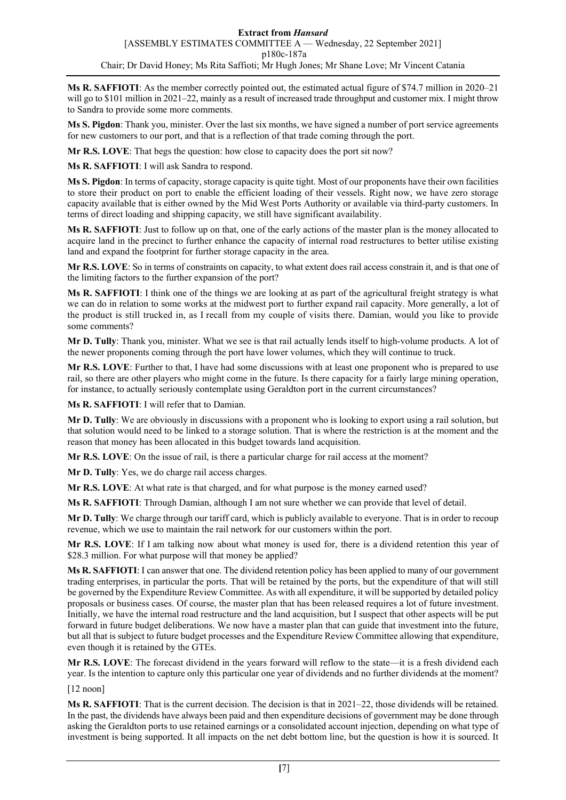**Ms R. SAFFIOTI**: As the member correctly pointed out, the estimated actual figure of \$74.7 million in 2020–21 will go to \$101 million in 2021–22, mainly as a result of increased trade throughput and customer mix. I might throw to Sandra to provide some more comments.

**Ms S. Pigdon**: Thank you, minister. Over the last six months, we have signed a number of port service agreements for new customers to our port, and that is a reflection of that trade coming through the port.

**Mr R.S. LOVE**: That begs the question: how close to capacity does the port sit now?

**Ms R. SAFFIOTI**: I will ask Sandra to respond.

**Ms S. Pigdon**: In terms of capacity, storage capacity is quite tight. Most of our proponents have their own facilities to store their product on port to enable the efficient loading of their vessels. Right now, we have zero storage capacity available that is either owned by the Mid West Ports Authority or available via third-party customers. In terms of direct loading and shipping capacity, we still have significant availability.

**Ms R. SAFFIOTI**: Just to follow up on that, one of the early actions of the master plan is the money allocated to acquire land in the precinct to further enhance the capacity of internal road restructures to better utilise existing land and expand the footprint for further storage capacity in the area.

**Mr R.S. LOVE**: So in terms of constraints on capacity, to what extent does rail access constrain it, and is that one of the limiting factors to the further expansion of the port?

**Ms R. SAFFIOTI**: I think one of the things we are looking at as part of the agricultural freight strategy is what we can do in relation to some works at the midwest port to further expand rail capacity. More generally, a lot of the product is still trucked in, as I recall from my couple of visits there. Damian, would you like to provide some comments?

**Mr D. Tully**: Thank you, minister. What we see is that rail actually lends itself to high-volume products. A lot of the newer proponents coming through the port have lower volumes, which they will continue to truck.

**Mr R.S. LOVE**: Further to that, I have had some discussions with at least one proponent who is prepared to use rail, so there are other players who might come in the future. Is there capacity for a fairly large mining operation, for instance, to actually seriously contemplate using Geraldton port in the current circumstances?

**Ms R. SAFFIOTI**: I will refer that to Damian.

**Mr D. Tully**: We are obviously in discussions with a proponent who is looking to export using a rail solution, but that solution would need to be linked to a storage solution. That is where the restriction is at the moment and the reason that money has been allocated in this budget towards land acquisition.

**Mr R.S. LOVE**: On the issue of rail, is there a particular charge for rail access at the moment?

**Mr D. Tully**: Yes, we do charge rail access charges.

**Mr R.S. LOVE**: At what rate is that charged, and for what purpose is the money earned used?

**Ms R. SAFFIOTI**: Through Damian, although I am not sure whether we can provide that level of detail.

**Mr D. Tully**: We charge through our tariff card, which is publicly available to everyone. That is in order to recoup revenue, which we use to maintain the rail network for our customers within the port.

**Mr R.S. LOVE**: If I am talking now about what money is used for, there is a dividend retention this year of \$28.3 million. For what purpose will that money be applied?

**Ms R. SAFFIOTI**: I can answer that one. The dividend retention policy has been applied to many of our government trading enterprises, in particular the ports. That will be retained by the ports, but the expenditure of that will still be governed by the Expenditure Review Committee. As with all expenditure, it will be supported by detailed policy proposals or business cases. Of course, the master plan that has been released requires a lot of future investment. Initially, we have the internal road restructure and the land acquisition, but I suspect that other aspects will be put forward in future budget deliberations. We now have a master plan that can guide that investment into the future, but all that is subject to future budget processes and the Expenditure Review Committee allowing that expenditure, even though it is retained by the GTEs.

**Mr R.S. LOVE**: The forecast dividend in the years forward will reflow to the state—it is a fresh dividend each year. Is the intention to capture only this particular one year of dividends and no further dividends at the moment?

[12 noon]

**Ms R. SAFFIOTI**: That is the current decision. The decision is that in 2021–22, those dividends will be retained. In the past, the dividends have always been paid and then expenditure decisions of government may be done through asking the Geraldton ports to use retained earnings or a consolidated account injection, depending on what type of investment is being supported. It all impacts on the net debt bottom line, but the question is how it is sourced. It